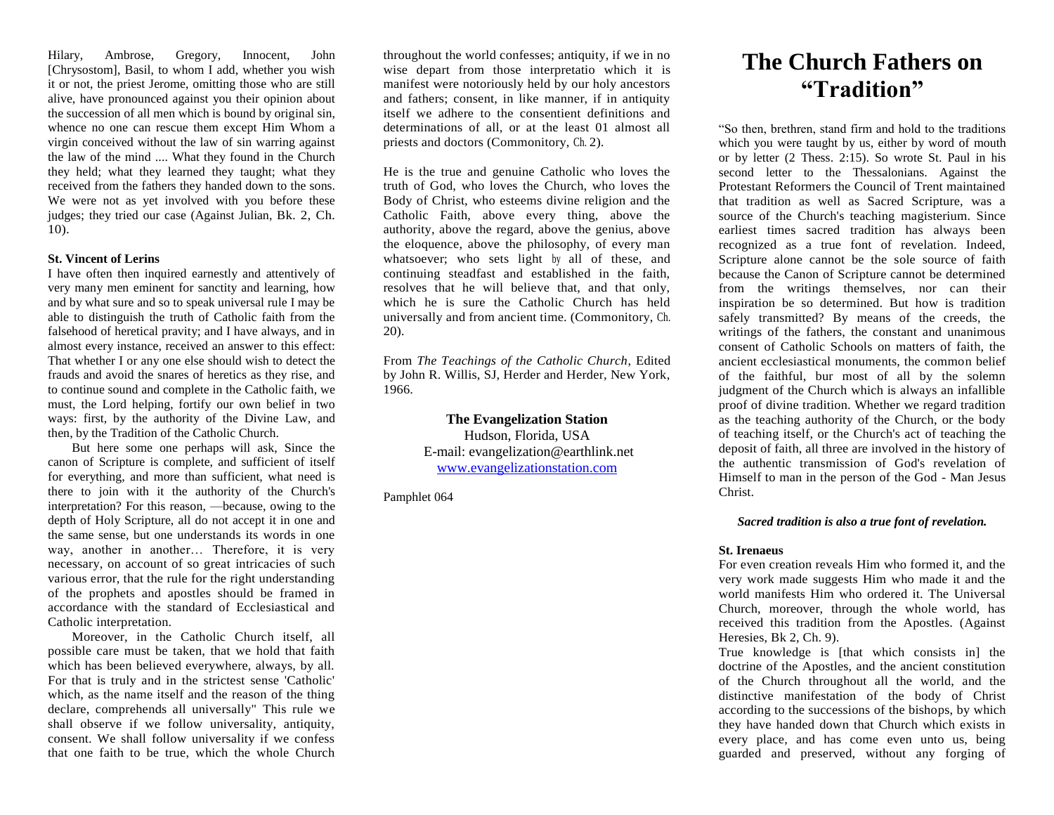Hilary, Ambrose, Gregory, Innocent, John [Chrysostom], Basil, to whom I add, whether you wish it or not, the priest Jerome, omitting those who are still alive, have pronounced against you their opinion about the succession of all men which is bound by original sin, whence no one can rescue them except Him Whom a virgin conceived without the law of sin warring against the law of the mind .... What they found in the Church they held; what they learned they taught; what they received from the fathers they handed down to the sons. We were not as yet involved with you before these judges; they tried our case (Against Julian, Bk. 2, Ch. 10).

#### **St. Vincent of Lerins**

I have often then inquired earnestly and attentively of very many men eminent for sanctity and learning, how and by what sure and so to speak universal rule I may be able to distinguish the truth of Catholic faith from the falsehood of heretical pravity; and I have always, and in almost every instance, received an answer to this effect: That whether I or any one else should wish to detect the frauds and avoid the snares of heretics as they rise, and to continue sound and complete in the Catholic faith, we must, the Lord helping, fortify our own belief in two ways: first, by the authority of the Divine Law, and then, by the Tradition of the Catholic Church.

But here some one perhaps will ask, Since the canon of Scripture is complete, and sufficient of itself for everything, and more than sufficient, what need is there to join with it the authority of the Church's interpretation? For this reason, —because, owing to the depth of Holy Scripture, all do not accept it in one and the same sense, but one understands its words in one way, another in another… Therefore, it is very necessary, on account of so great intricacies of such various error, that the rule for the right understanding of the prophets and apostles should be framed in accordance with the standard of Ecclesiastical and Catholic interpretation.

Moreover, in the Catholic Church itself, all possible care must be taken, that we hold that faith which has been believed everywhere, always, by all. For that is truly and in the strictest sense 'Catholic' which, as the name itself and the reason of the thing declare, comprehends all universally" This rule we shall observe if we follow universality, antiquity, consent. We shall follow universality if we confess that one faith to be true, which the whole Church

throughout the world confesses; antiquity, if we in no wise depart from those interpretatio which it is manifest were notoriously held by our holy ancestors and fathers; consent, in like manner, if in antiquity itself we adhere to the consentient definitions and determinations of all, or at the least 01 almost all priests and doctors (Commonitory, Ch. 2).

He is the true and genuine Catholic who loves the truth of God, who loves the Church, who loves the Body of Christ, who esteems divine religion and the Catholic Faith, above every thing, above the authority, above the regard, above the genius, above the eloquence, above the philosophy, of every man whatsoever; who sets light by all of these, and continuing steadfast and established in the faith, resolves that he will believe that, and that only, which he is sure the Catholic Church has held universally and from ancient time. (Commonitory, Ch. 20).

From *The Teachings of the Catholic Church*, Edited by John R. Willis, SJ, Herder and Herder, New York, 1966.

> **The Evangelization Station** Hudson, Florida, USA E-mail: evangelization@earthlink.net [www.evangelizationstation.com](http://www.pjpiisoe.org/)

Pamphlet 064

# **The Church Fathers on "Tradition"**

"So then, brethren, stand firm and hold to the traditions which you were taught by us, either by word of mouth or by letter (2 Thess. 2:15). So wrote St. Paul in his second letter to the Thessalonians. Against the Protestant Reformers the Council of Trent maintained that tradition as well as Sacred Scripture, was a source of the Church's teaching magisterium. Since earliest times sacred tradition has always been recognized as a true font of revelation. Indeed, Scripture alone cannot be the sole source of faith because the Canon of Scripture cannot be determined from the writings themselves, nor can their inspiration be so determined. But how is tradition safely transmitted? By means of the creeds, the writings of the fathers, the constant and unanimous consent of Catholic Schools on matters of faith, the ancient ecclesiastical monuments, the common belief of the faithful, bur most of all by the solemn judgment of the Church which is always an infallible proof of divine tradition. Whether we regard tradition as the teaching authority of the Church, or the body of teaching itself, or the Church's act of teaching the deposit of faith, all three are involved in the history of the authentic transmission of God's revelation of Himself to man in the person of the God - Man Jesus Christ.

# *Sacred tradition is also a true font of revelation.*

#### **St. Irenaeus**

For even creation reveals Him who formed it, and the very work made suggests Him who made it and the world manifests Him who ordered it. The Universal Church, moreover, through the whole world, has received this tradition from the Apostles. (Against Heresies, Bk 2, Ch. 9).

True knowledge is [that which consists in] the doctrine of the Apostles, and the ancient constitution of the Church throughout all the world, and the distinctive manifestation of the body of Christ according to the successions of the bishops, by which they have handed down that Church which exists in every place, and has come even unto us, being guarded and preserved, without any forging of